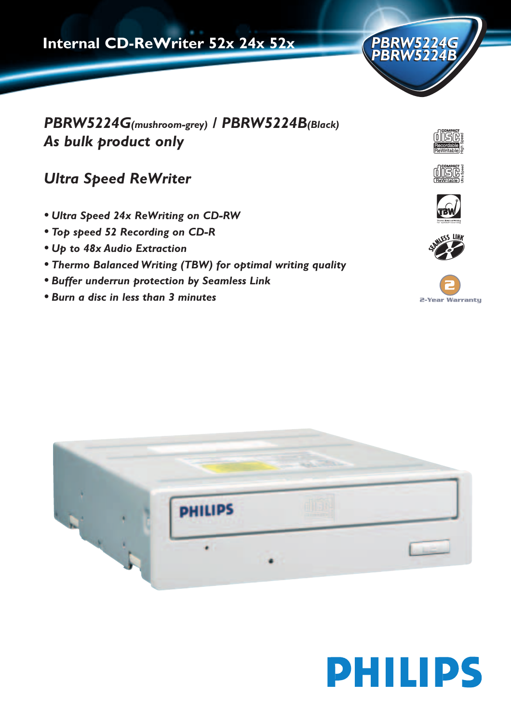

*PBRW5224G(mushroom-grey) / PBRW5224B(Black) As bulk product only*

**Internal CD-ReWriter 52x 24x 52x**

# *Ultra Speed ReWriter*

- *• Ultra Speed 24x ReWriting on CD-RW*
- *• Top speed 52 Recording on CD-R*
- *• Up to 48x Audio Extraction*
- *• Thermo Balanced Writing (TBW) for optimal writing quality*
- *• Buffer underrun protection by Seamless Link*
- *• Burn a disc in less than 3 minutes*